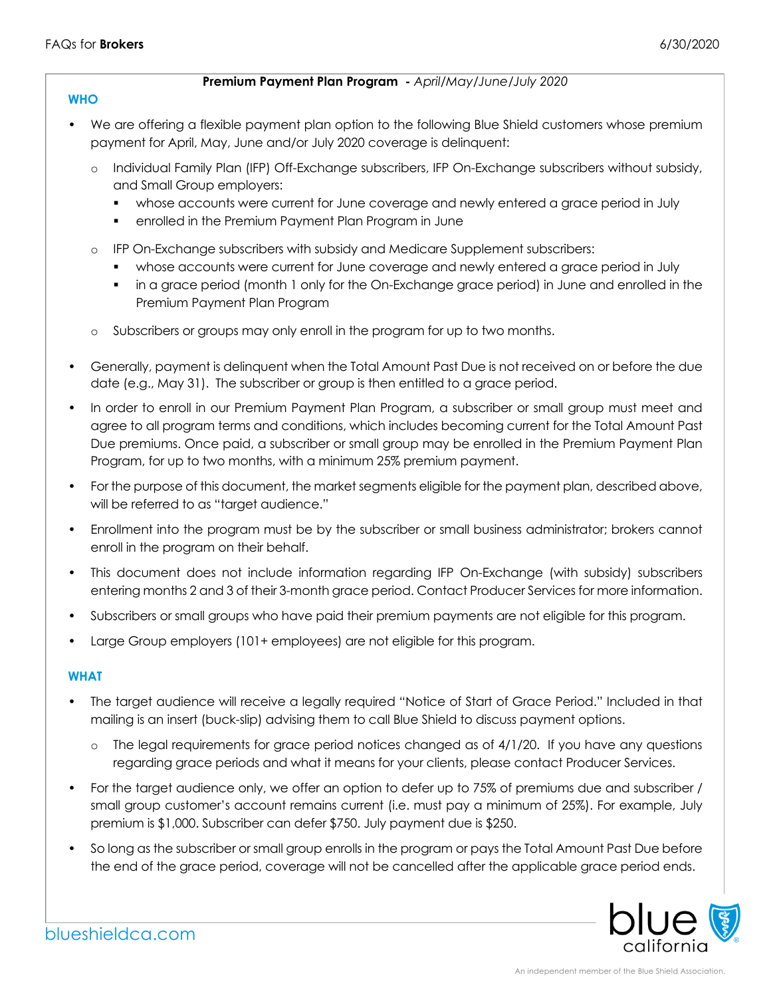### **Premium Payment Plan Program -** *April/May/June/July 2020*

## **WHO**

- We are offering a flexible payment plan option to the following Blue Shield customers whose premium payment for April, May, June and/or July 2020 coverage is delinquent:
	- o Individual Family Plan (IFP) Off-Exchange subscribers, IFP On-Exchange subscribers without subsidy, and Small Group employers:
		- whose accounts were current for June coverage and newly entered a grace period in July
		- **•** enrolled in the Premium Payment Plan Program in June
	- o IFP On-Exchange subscribers with subsidy and Medicare Supplement subscribers:
		- **•** whose accounts were current for June coverage and newly entered a grace period in July
		- **•** in a grace period (month 1 only for the On-Exchange grace period) in June and enrolled in the Premium Payment Plan Program
	- o Subscribers or groups may only enroll in the program for up to two months.
- Generally, payment is delinquent when the Total Amount Past Due is not received on or before the due date (e.g., May 31). The subscriber or group is then entitled to a grace period.
- In order to enroll in our Premium Payment Plan Program, a subscriber or small group must meet and agree to all program terms and conditions, which includes becoming current for the Total Amount Past Due premiums. Once paid, a subscriber or small group may be enrolled in the Premium Payment Plan Program, for up to two months, with a minimum 25% premium payment.
- For the purpose of this document, the market segments eligible for the payment plan, described above, will be referred to as "target audience."
- Enrollment into the program must be by the subscriber or small business administrator; brokers cannot enroll in the program on their behalf.
- This document does not include information regarding IFP On-Exchange (with subsidy) subscribers entering months 2 and 3 of their 3-month grace period. Contact Producer Services for more information.
- Subscribers or small groups who have paid their premium payments are not eligible for this program.
- Large Group employers (101+ employees) are not eligible for this program.

## **WHAT**

- The target audience will receive a legally required "Notice of Start of Grace Period." Included in that mailing is an insert (buck-slip) advising them to call Blue Shield to discuss payment options.
	- o The legal requirements for grace period notices changed as of 4/1/20. If you have any questions regarding grace periods and what it means for your clients, please contact Producer Services.
- For the target audience only, we offer an option to defer up to 75% of premiums due and subscriber / small group customer's account remains current (i.e. must pay a minimum of 25%). For example, July premium is \$1,000. Subscriber can defer \$750. July payment due is \$250.
- So long as the subscriber or small group enrolls in the program or pays the Total Amount Past Due before the end of the grace period, coverage will not be cancelled after the applicable grace period ends.